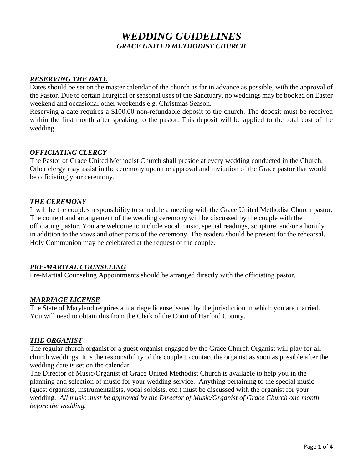# *WEDDING GUIDELINES GRACE UNITED METHODIST CHURCH*

#### *RESERVING THE DATE*

Dates should be set on the master calendar of the church as far in advance as possible, with the approval of the Pastor. Due to certain liturgical or seasonal uses of the Sanctuary, no weddings may be booked on Easter weekend and occasional other weekends e.g. Christmas Season.

Reserving a date requires a \$100.00 non-refundable deposit to the church. The deposit must be received within the first month after speaking to the pastor. This deposit will be applied to the total cost of the wedding.

#### *OFFICIATING CLERGY*

The Pastor of Grace United Methodist Church shall preside at every wedding conducted in the Church. Other clergy may assist in the ceremony upon the approval and invitation of the Grace pastor that would be officiating your ceremony.

#### *THE CEREMONY*

It will be the couples responsibility to schedule a meeting with the Grace United Methodist Church pastor. The content and arrangement of the wedding ceremony will be discussed by the couple with the officiating pastor. You are welcome to include vocal music, special readings, scripture, and/or a homily in addition to the vows and other parts of the ceremony. The readers should be present for the rehearsal. Holy Communion may be celebrated at the request of the couple.

#### *PRE-MARITAL COUNSELING*

Pre-Martial Counseling Appointments should be arranged directly with the officiating pastor.

#### *MARRIAGE LICENSE*

The State of Maryland requires a marriage license issued by the jurisdiction in which you are married. You will need to obtain this from the Clerk of the Court of Harford County.

#### *THE ORGANIST*

The regular church organist or a guest organist engaged by the Grace Church Organist will play for all church weddings. It is the responsibility of the couple to contact the organist as soon as possible after the wedding date is set on the calendar.

The Director of Music/Organist of Grace United Methodist Church is available to help you in the planning and selection of music for your wedding service. Anything pertaining to the special music (guest organists, instrumentalists, vocal soloists, etc.) must be discussed with the organist for your wedding. *All music must be approved by the Director of Music/Organist of Grace Church one month before the wedding.*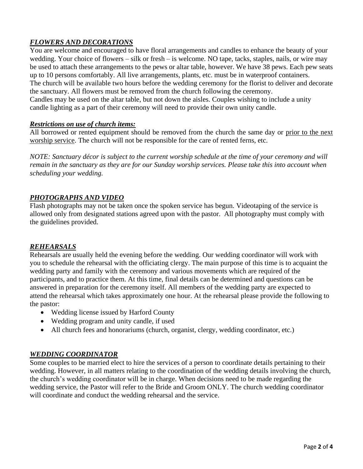# *FLOWERS AND DECORATIONS*

You are welcome and encouraged to have floral arrangements and candles to enhance the beauty of your wedding. Your choice of flowers – silk or fresh – is welcome. NO tape, tacks, staples, nails, or wire may be used to attach these arrangements to the pews or altar table, however. We have 38 pews. Each pew seats up to 10 persons comfortably. All live arrangements, plants, etc. must be in waterproof containers. The church will be available two hours before the wedding ceremony for the florist to deliver and decorate the sanctuary. All flowers must be removed from the church following the ceremony. Candles may be used on the altar table, but not down the aisles. Couples wishing to include a unity candle lighting as a part of their ceremony will need to provide their own unity candle.

#### *Restrictions on use of church items:*

All borrowed or rented equipment should be removed from the church the same day or prior to the next worship service. The church will not be responsible for the care of rented ferns, etc.

*NOTE: Sanctuary décor is subject to the current worship schedule at the time of your ceremony and will remain in the sanctuary as they are for our Sunday worship services. Please take this into account when scheduling your wedding.*

### *PHOTOGRAPHS AND VIDEO*

Flash photographs may not be taken once the spoken service has begun. Videotaping of the service is allowed only from designated stations agreed upon with the pastor. All photography must comply with the guidelines provided.

#### *REHEARSALS*

Rehearsals are usually held the evening before the wedding. Our wedding coordinator will work with you to schedule the rehearsal with the officiating clergy. The main purpose of this time is to acquaint the wedding party and family with the ceremony and various movements which are required of the participants, and to practice them. At this time, final details can be determined and questions can be answered in preparation for the ceremony itself. All members of the wedding party are expected to attend the rehearsal which takes approximately one hour. At the rehearsal please provide the following to the pastor:

- Wedding license issued by Harford County
- Wedding program and unity candle, if used
- All church fees and honorariums (church, organist, clergy, wedding coordinator, etc.)

# *WEDDING COORDINATOR*

Some couples to be married elect to hire the services of a person to coordinate details pertaining to their wedding. However, in all matters relating to the coordination of the wedding details involving the church, the church's wedding coordinator will be in charge. When decisions need to be made regarding the wedding service, the Pastor will refer to the Bride and Groom ONLY. The church wedding coordinator will coordinate and conduct the wedding rehearsal and the service.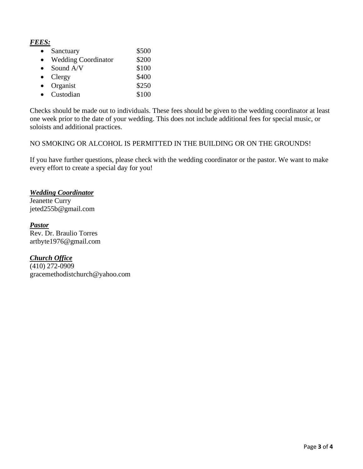*FEES:*

| Sanctuary                  | \$500 |
|----------------------------|-------|
| <b>Wedding Coordinator</b> | \$200 |
| Sound A/V                  | \$100 |
| Clergy                     | \$400 |
| Organist                   | \$250 |
| Custodian                  | \$100 |

Checks should be made out to individuals. These fees should be given to the wedding coordinator at least one week prior to the date of your wedding. This does not include additional fees for special music, or soloists and additional practices.

NO SMOKING OR ALCOHOL IS PERMITTED IN THE BUILDING OR ON THE GROUNDS!

If you have further questions, please check with the wedding coordinator or the pastor. We want to make every effort to create a special day for you!

#### *Wedding Coordinator*

Jeanette Curry [jeted255b@gmail.com](mailto:jeted255b@gmail.com)

#### *Pastor*

Rev. Dr. Braulio Torres artbyte1976@gmail.com

#### *Church Office*

 $\sqrt{(410) 272 - 0909}$ [gracemethodistchurch@yahoo.com](mailto:gracemethodistchurch@yahoo.com)